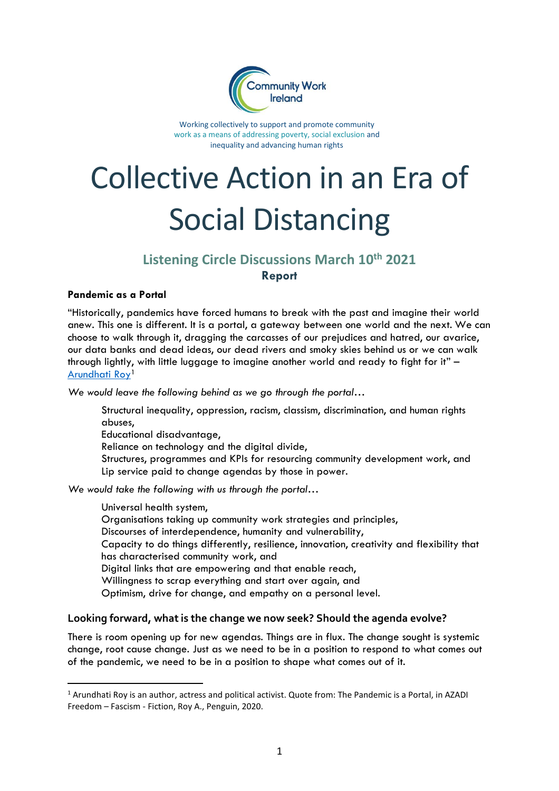

Working collectively to support and promote community work as a means of addressing poverty, social exclusion and inequality and advancing human rights

# Collective Action in an Era of Social Distancing

# **Listening Circle Discussions March 10th 2021 Report**

#### **Pandemic as a Portal**

"Historically, pandemics have forced humans to break with the past and imagine their world anew. This one is different. It is a portal, a gateway between one world and the next. We can choose to walk through it, dragging the carcasses of our prejudices and hatred, our avarice, our data banks and dead ideas, our dead rivers and smoky skies behind us or we can walk through lightly, with little luggage to imagine another world and ready to fight for it" – [Arundhati Roy](https://www.ft.com/content/10d8f5e8-74eb-11ea-95fe-fcd274e920ca)<sup>1</sup>

*We would leave the following behind as we go through the portal*…

Structural inequality, oppression, racism, classism, discrimination, and human rights abuses, Educational disadvantage, Reliance on technology and the digital divide,

Structures, programmes and KPIs for resourcing community development work, and Lip service paid to change agendas by those in power.

*We would take the following with us through the portal*…

Universal health system, Organisations taking up community work strategies and principles, Discourses of interdependence, humanity and vulnerability, Capacity to do things differently, resilience, innovation, creativity and flexibility that has characterised community work, and Digital links that are empowering and that enable reach, Willingness to scrap everything and start over again, and Optimism, drive for change, and empathy on a personal level.

#### **Looking forward, what is the change we now seek? Should the agenda evolve?**

There is room opening up for new agendas. Things are in flux. The change sought is systemic change, root cause change. Just as we need to be in a position to respond to what comes out of the pandemic, we need to be in a position to shape what comes out of it.

<sup>1</sup> Arundhati Roy is an author, actress and political activist. Quote from: The Pandemic is a Portal, in AZADI Freedom – Fascism - Fiction, Roy A., Penguin, 2020.